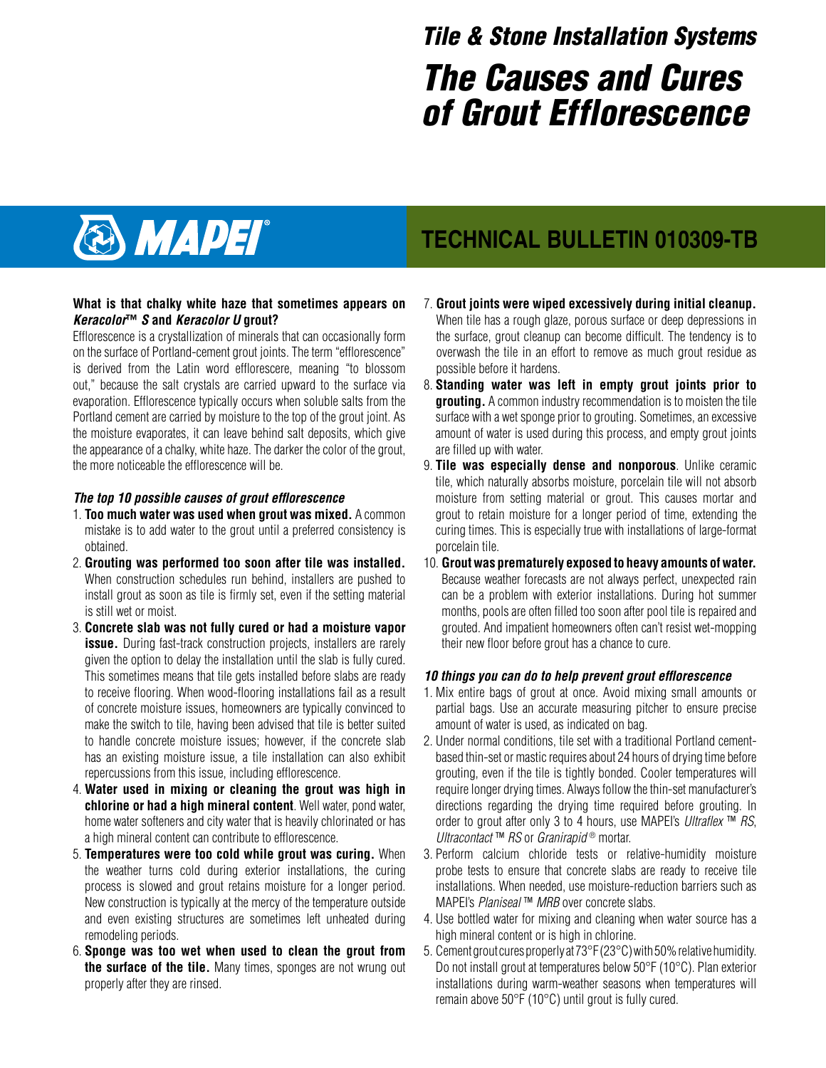# The Causes and Cures of Grout Efflorescence Tile & Stone Installation Systems



### **What is that chalky white haze that sometimes appears on Keracolor™ S and Keracolor U grout?**

Efflorescence is a crystallization of minerals that can occasionally form on the surface of Portland-cement grout joints. The term "efflorescence" is derived from the Latin word efflorescere, meaning "to blossom out," because the salt crystals are carried upward to the surface via evaporation. Efflorescence typically occurs when soluble salts from the Portland cement are carried by moisture to the top of the grout joint. As the moisture evaporates, it can leave behind salt deposits, which give the appearance of a chalky, white haze. The darker the color of the grout, the more noticeable the efflorescence will be.

### **The top 10 possible causes of grout efflorescence**

- 1. **Too much water was used when grout was mixed.** A common mistake is to add water to the grout until a preferred consistency is obtained.
- 2. **Grouting was performed too soon after tile was installed.** When construction schedules run behind, installers are pushed to install grout as soon as tile is firmly set, even if the setting material is still wet or moist.
- 3. **Concrete slab was not fully cured or had a moisture vapor issue.** During fast-track construction projects, installers are rarely given the option to delay the installation until the slab is fully cured. This sometimes means that tile gets installed before slabs are ready to receive flooring. When wood-flooring installations fail as a result of concrete moisture issues, homeowners are typically convinced to make the switch to tile, having been advised that tile is better suited to handle concrete moisture issues; however, if the concrete slab has an existing moisture issue, a tile installation can also exhibit repercussions from this issue, including efflorescence.
- 4. **Water used in mixing or cleaning the grout was high in chlorine or had a high mineral content**. Well water, pond water, home water softeners and city water that is heavily chlorinated or has a high mineral content can contribute to efflorescence.
- 5. **Temperatures were too cold while grout was curing.** When the weather turns cold during exterior installations, the curing process is slowed and grout retains moisture for a longer period. New construction is typically at the mercy of the temperature outside and even existing structures are sometimes left unheated during remodeling periods.
- 6. **Sponge was too wet when used to clean the grout from the surface of the tile.** Many times, sponges are not wrung out properly after they are rinsed.

## **TECHNICAL BULLETIN 010309-TB**

- 7. **Grout joints were wiped excessively during initial cleanup.** When tile has a rough glaze, porous surface or deep depressions in the surface, grout cleanup can become difficult. The tendency is to overwash the tile in an effort to remove as much grout residue as possible before it hardens.
- 8. **Standing water was left in empty grout joints prior to grouting.** A common industry recommendation is to moisten the tile surface with a wet sponge prior to grouting. Sometimes, an excessive amount of water is used during this process, and empty grout joints are filled up with water.
- 9. **Tile was especially dense and nonporous**. Unlike ceramic tile, which naturally absorbs moisture, porcelain tile will not absorb moisture from setting material or grout. This causes mortar and grout to retain moisture for a longer period of time, extending the curing times. This is especially true with installations of large-format porcelain tile.
- 10. **Grout was prematurely exposed to heavy amounts of water.** Because weather forecasts are not always perfect, unexpected rain can be a problem with exterior installations. During hot summer months, pools are often filled too soon after pool tile is repaired and grouted. And impatient homeowners often can't resist wet-mopping their new floor before grout has a chance to cure.

### **10 things you can do to help prevent grout efflorescence**

- 1. Mix entire bags of grout at once. Avoid mixing small amounts or partial bags. Use an accurate measuring pitcher to ensure precise amount of water is used, as indicated on bag.
- 2. Under normal conditions, tile set with a traditional Portland cementbased thin-set or mastic requires about 24 hours of drying time before grouting, even if the tile is tightly bonded. Cooler temperatures will require longer drying times. Always follow the thin-set manufacturer's directions regarding the drying time required before grouting. In order to grout after only 3 to 4 hours, use MAPEI's *Ultraflex* ™ RS, Ultracontact ™ RS or Granirapid ® mortar.
- 3. Perform calcium chloride tests or relative-humidity moisture probe tests to ensure that concrete slabs are ready to receive tile installations. When needed, use moisture-reduction barriers such as MAPEI's Planiseal ™ MRB over concrete slabs.
- 4. Use bottled water for mixing and cleaning when water source has a high mineral content or is high in chlorine.
- 5. Cement grout cures properly at 73°F (23°C) with 50% relative humidity. Do not install grout at temperatures below 50°F (10°C). Plan exterior installations during warm-weather seasons when temperatures will remain above 50°F (10°C) until grout is fully cured.